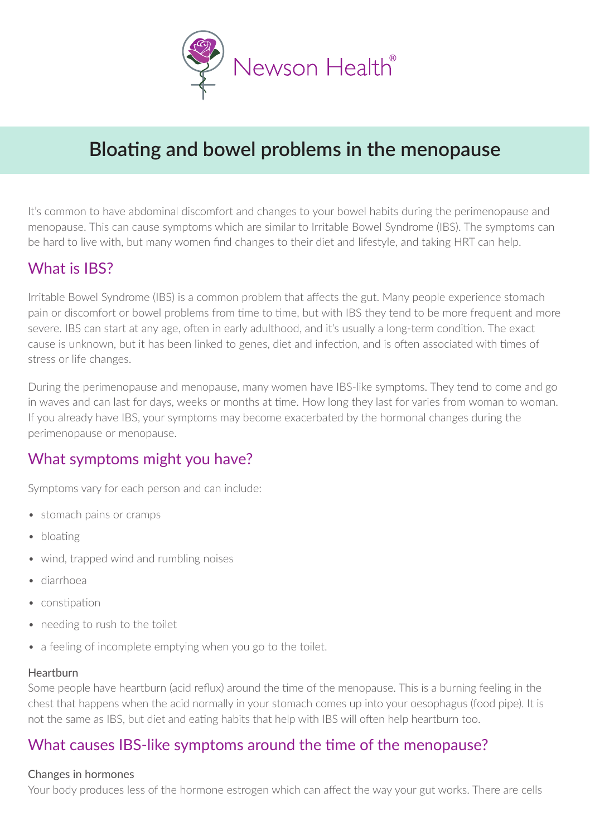

# **Bloating and bowel problems in the menopause**

It's common to have abdominal discomfort and changes to your bowel habits during the perimenopause and menopause. This can cause symptoms which are similar to Irritable Bowel Syndrome (IBS). The symptoms can be hard to live with, but many women find changes to their diet and lifestyle, and taking HRT can help.

# What is IBS?

Irritable Bowel Syndrome (IBS) is a common problem that affects the gut. Many people experience stomach pain or discomfort or bowel problems from time to time, but with IBS they tend to be more frequent and more severe. IBS can start at any age, often in early adulthood, and it's usually a long-term condition. The exact cause is unknown, but it has been linked to genes, diet and infection, and is often associated with times of stress or life changes.

During the perimenopause and menopause, many women have IBS-like symptoms. They tend to come and go in waves and can last for days, weeks or months at time. How long they last for varies from woman to woman. If you already have IBS, your symptoms may become exacerbated by the hormonal changes during the perimenopause or menopause.

# What symptoms might you have?

Symptoms vary for each person and can include:

- stomach pains or cramps
- bloating
- wind, trapped wind and rumbling noises
- diarrhoea
- constipation
- needing to rush to the toilet
- a feeling of incomplete emptying when you go to the toilet.

#### Heartburn

Some people have heartburn (acid reflux) around the time of the menopause. This is a burning feeling in the chest that happens when the acid normally in your stomach comes up into your oesophagus (food pipe). It is not the same as IBS, but diet and eating habits that help with IBS will often help heartburn too.

# What causes IBS-like symptoms around the time of the menopause?

#### Changes in hormones

Your body produces less of the hormone estrogen which can affect the way your gut works. There are cells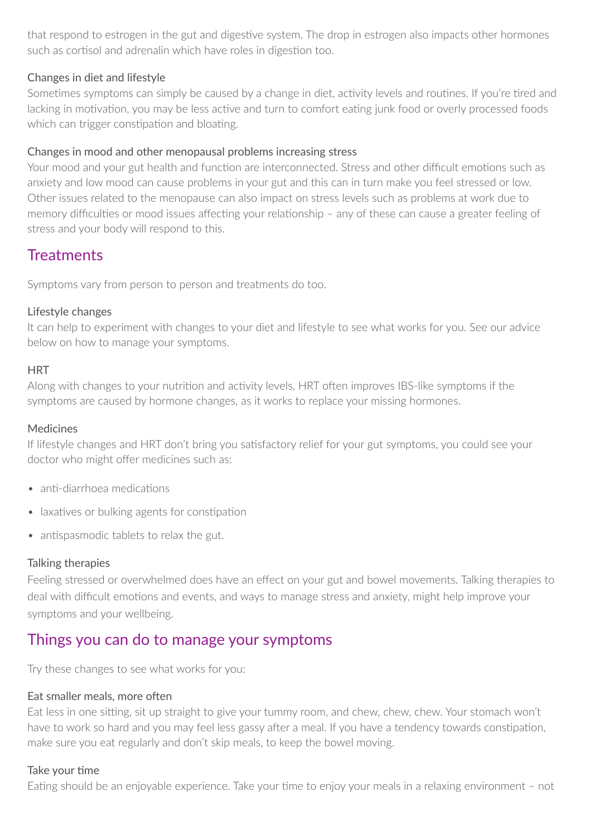that respond to estrogen in the gut and digestive system. The drop in estrogen also impacts other hormones such as cortisol and adrenalin which have roles in digestion too.

### Changes in diet and lifestyle

Sometimes symptoms can simply be caused by a change in diet, activity levels and routines. If you're tired and lacking in motivation, you may be less active and turn to comfort eating junk food or overly processed foods which can trigger constipation and bloating.

## Changes in mood and other menopausal problems increasing stress

Your mood and your gut health and function are interconnected. Stress and other difficult emotions such as anxiety and low mood can cause problems in your gut and this can in turn make you feel stressed or low. Other issues related to the menopause can also impact on stress levels such as problems at work due to memory difficulties or mood issues affecting your relationship – any of these can cause a greater feeling of stress and your body will respond to this.

# **Treatments**

Symptoms vary from person to person and treatments do too.

### Lifestyle changes

It can help to experiment with changes to your diet and lifestyle to see what works for you. See our advice below on how to manage your symptoms.

#### **HRT**

Along with changes to your nutrition and activity levels, HRT often improves IBS-like symptoms if the symptoms are caused by hormone changes, as it works to replace your missing hormones.

#### Medicines

If lifestyle changes and HRT don't bring you satisfactory relief for your gut symptoms, you could see your doctor who might offer medicines such as:

- $\bullet$  anti-diarrhoea medications
- laxatives or bulking agents for constipation
- antispasmodic tablets to relax the gut.

# Talking therapies

Feeling stressed or overwhelmed does have an effect on your gut and bowel movements. Talking therapies to deal with difficult emotions and events, and ways to manage stress and anxiety, might help improve your symptoms and your wellbeing.

# Things you can do to manage your symptoms

Try these changes to see what works for you:

#### Eat smaller meals, more often

Eat less in one sitting, sit up straight to give your tummy room, and chew, chew, chew. Your stomach won't have to work so hard and you may feel less gassy after a meal. If you have a tendency towards constipation, make sure you eat regularly and don't skip meals, to keep the bowel moving.

#### Take your time

Eating should be an enjoyable experience. Take your time to enjoy your meals in a relaxing environment – not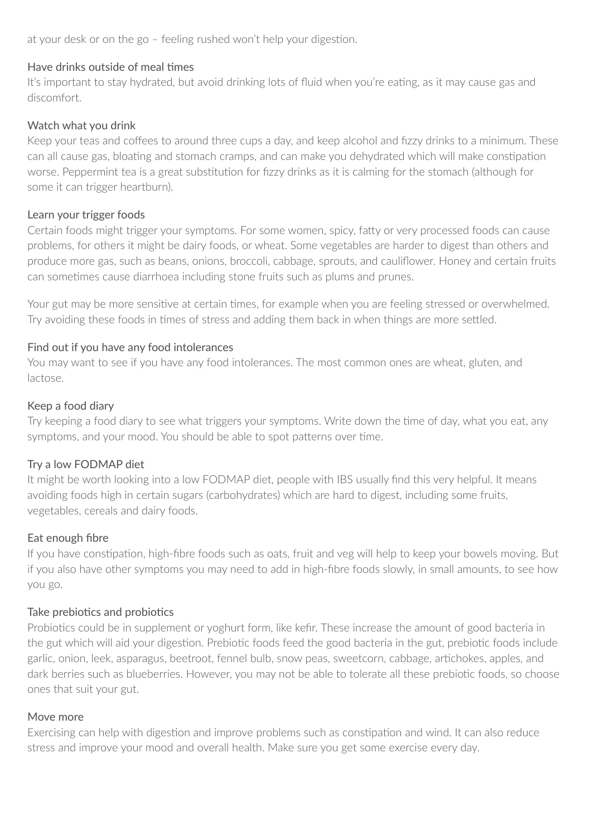at your desk or on the go – feeling rushed won't help your digestion.

#### Have drinks outside of meal times

It's important to stay hydrated, but avoid drinking lots of fluid when you're eating, as it may cause gas and discomfort.

#### Watch what you drink

Keep your teas and coffees to around three cups a day, and keep alcohol and fizzy drinks to a minimum. These can all cause gas, bloating and stomach cramps, and can make you dehydrated which will make constipation worse. Peppermint tea is a great substitution for fizzy drinks as it is calming for the stomach (although for some it can trigger heartburn).

### Learn your trigger foods

Certain foods might trigger your symptoms. For some women, spicy, fatty or very processed foods can cause problems, for others it might be dairy foods, or wheat. Some vegetables are harder to digest than others and produce more gas, such as beans, onions, broccoli, cabbage, sprouts, and cauliflower. Honey and certain fruits can sometimes cause diarrhoea including stone fruits such as plums and prunes.

Your gut may be more sensitive at certain times, for example when you are feeling stressed or overwhelmed. Try avoiding these foods in times of stress and adding them back in when things are more settled.

#### Find out if you have any food intolerances

You may want to see if you have any food intolerances. The most common ones are wheat, gluten, and lactose.

#### Keep a food diary

Try keeping a food diary to see what triggers your symptoms. Write down the time of day, what you eat, any symptoms, and your mood. You should be able to spot patterns over time.

# Try a low FODMAP diet

It might be worth looking into a low FODMAP diet, people with IBS usually find this very helpful. It means avoiding foods high in certain sugars (carbohydrates) which are hard to digest, including some fruits, vegetables, cereals and dairy foods.

# Eat enough fibre

If you have constipation, high-fibre foods such as oats, fruit and veg will help to keep your bowels moving. But if you also have other symptoms you may need to add in high-fibre foods slowly, in small amounts, to see how you go.

# Take prebiotics and probiotics

Probiotics could be in supplement or yoghurt form, like kefir. These increase the amount of good bacteria in the gut which will aid your digestion. Prebiotic foods feed the good bacteria in the gut, prebiotic foods include garlic, onion, leek, asparagus, beetroot, fennel bulb, snow peas, sweetcorn, cabbage, artichokes, apples, and dark berries such as blueberries. However, you may not be able to tolerate all these prebiotic foods, so choose ones that suit your gut.

#### Move more

Exercising can help with digestion and improve problems such as constipation and wind. It can also reduce stress and improve your mood and overall health. Make sure you get some exercise every day.